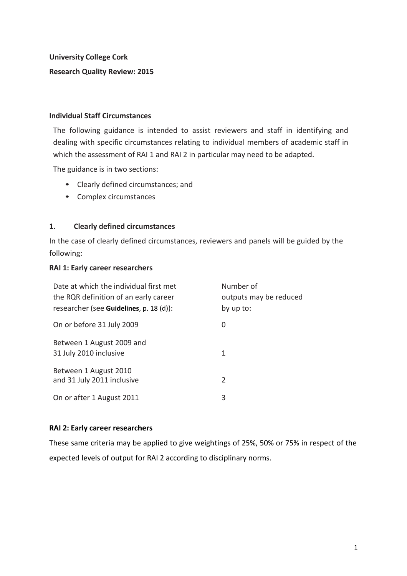**University College Cork**

# **Research Quality Review: 2015**

### **Individual Staff Circumstances**

The following guidance is intended to assist reviewers and staff in identifying and dealing with specific circumstances relating to individual members of academic staff in which the assessment of RAI 1 and RAI 2 in particular may need to be adapted.

The guidance is in two sections:

- Clearly defined circumstances; and
- Complex circumstances

### **1. Clearly defined circumstances**

In the case of clearly defined circumstances, reviewers and panels will be guided by the following:

### **RAI 1: Early career researchers**

| Date at which the individual first met<br>the RQR definition of an early career<br>researcher (see Guidelines, p. 18 (d)): | Number of<br>outputs may be reduced<br>by up to: |
|----------------------------------------------------------------------------------------------------------------------------|--------------------------------------------------|
| On or before 31 July 2009                                                                                                  | 0                                                |
| Between 1 August 2009 and<br>31 July 2010 inclusive                                                                        | 1                                                |
| Between 1 August 2010<br>and 31 July 2011 inclusive                                                                        | 2                                                |
| On or after 1 August 2011                                                                                                  | 3                                                |

### **RAI 2: Early career researchers**

These same criteria may be applied to give weightings of 25%, 50% or 75% in respect of the expected levels of output for RAI 2 according to disciplinary norms.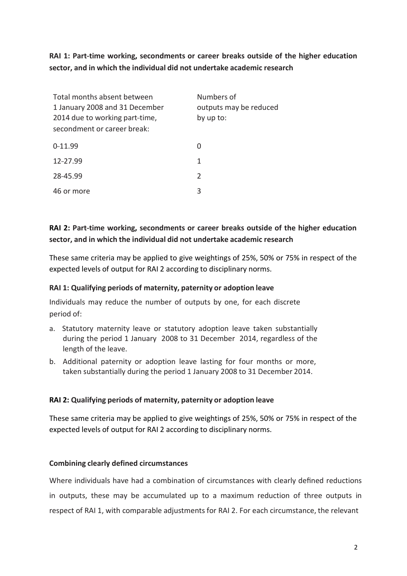**RAI** 1: Part-time working, secondments or career breaks outside of the higher education **sector, and in which the individual did not undertake academic research**

| Total months absent between    | Numbers of             |
|--------------------------------|------------------------|
| 1 January 2008 and 31 December | outputs may be reduced |
| 2014 due to working part-time, | by up to:              |
| secondment or career break:    |                        |
| $0 - 11.99$                    | 0                      |
| 12-27.99                       | 1                      |
| 28-45.99                       | $\mathcal{P}$          |
| 46 or more                     | 3                      |

# **RAI** 2: Part-time working, secondments or career breaks outside of the higher education **sector, and in which the individual did not undertake academic research**

These same criteria may be applied to give weightings of 25%, 50% or 75% in respect of the expected levels of output for RAI 2 according to disciplinary norms.

## **RAI 1: Qualifying periods of maternity, paternity or adoption leave**

Individuals may reduce the number of outputs by one, for each discrete period of:

- a. Statutory maternity leave or statutory adoption leave taken substantially during the period 1 January 2008 to 31 December 2014, regardless of the length of the leave.
- b. Additional paternity or adoption leave lasting for four months or more, taken substantially during the period 1 January 2008 to 31 December 2014.

### **RAI 2: Qualifying periods of maternity, paternity or adoption leave**

These same criteria may be applied to give weightings of 25%, 50% or 75% in respect of the expected levels of output for RAI 2 according to disciplinary norms.

### **Combining clearly defined circumstances**

Where individuals have had a combination of circumstances with clearly defined reductions in outputs, these may be accumulated up to a maximum reduction of three outputs in respect of RAI 1, with comparable adjustments for RAI 2. For each circumstance, the relevant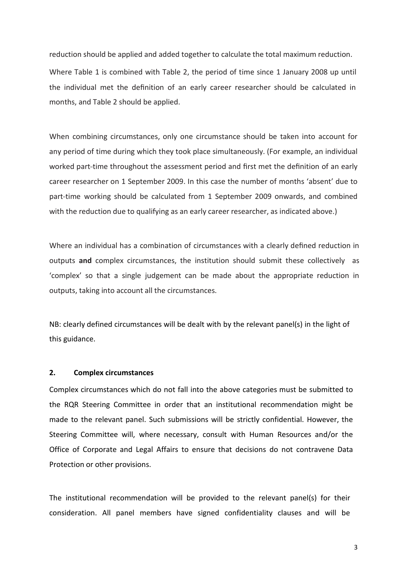reduction should be applied and added together to calculate the total maximum reduction.

Where Table 1 is combined with Table 2, the period of time since 1 January 2008 up until the individual met the definition of an early career researcher should be calculated in months, and Table 2 should be applied.

When combining circumstances, only one circumstance should be taken into account for any period of time during which they took place simultaneously. (For example, an individual worked part-time throughout the assessment period and first met the definition of an early career researcher on 1 September 2009. In this case the number of months 'absent' due to part-time working should be calculated from 1 September 2009 onwards, and combined with the reduction due to qualifying as an early career researcher, as indicated above.)

Where an individual has a combination of circumstances with a clearly defined reduction in outputs **and** complex circumstances, the institution should submit these collectively as 'complex' so that a single judgement can be made about the appropriate reduction in outputs, taking into account all the circumstances.

NB: clearly defined circumstances will be dealt with by the relevant panel(s) in the light of this guidance.

#### **2. Complex circumstances**

Complex circumstances which do not fall into the above categories must be submitted to the RQR Steering Committee in order that an institutional recommendation might be made to the relevant panel. Such submissions will be strictly confidential. However, the Steering Committee will, where necessary, consult with Human Resources and/or the Office of Corporate and Legal Affairs to ensure that decisions do not contravene Data Protection or other provisions.

The institutional recommendation will be provided to the relevant panel(s) for their consideration. All panel members have signed confidentiality clauses and will be